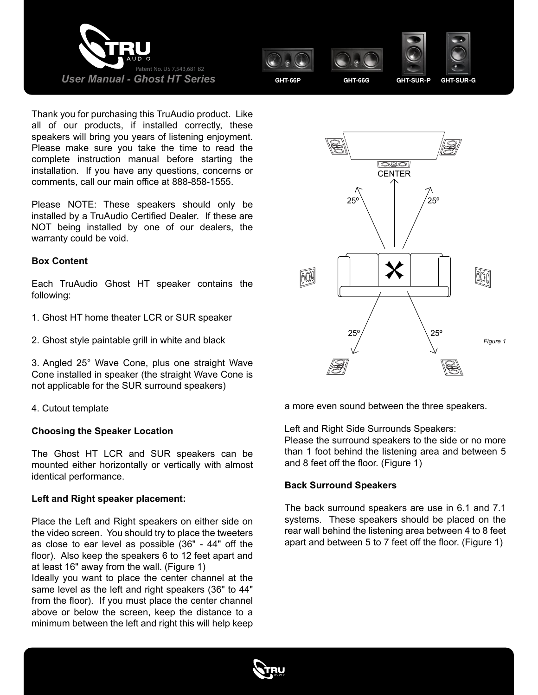





Thank you for purchasing this TruAudio product. Like all of our products, if installed correctly, these speakers will bring you years of listening enjoyment. Please make sure you take the time to read the complete instruction manual before starting the installation. If you have any questions, concerns or comments, call our main office at 888-858-1555.

Please NOTE: These speakers should only be installed by a TruAudio Certified Dealer. If these are NOT being installed by one of our dealers, the warranty could be void.

#### **Box Content**

Each TruAudio Ghost HT speaker contains the following:

- 1. Ghost HT home theater LCR or SUR speaker
- 2. Ghost style paintable grill in white and black

3. Angled 25° Wave Cone, plus one straight Wave Cone installed in speaker (the straight Wave Cone is not applicable for the SUR surround speakers)

4. Cutout template

#### **Choosing the Speaker Location**

The Ghost HT LCR and SUR speakers can be mounted either horizontally or vertically with almost identical performance.

#### **Left and Right speaker placement:**

Place the Left and Right speakers on either side on the video screen. You should try to place the tweeters as close to ear level as possible (36" - 44" off the floor). Also keep the speakers 6 to 12 feet apart and at least 16" away from the wall. (Figure 1)

Ideally you want to place the center channel at the same level as the left and right speakers (36" to 44" from the floor). If you must place the center channel above or below the screen, keep the distance to a minimum between the left and right this will help keep



a more even sound between the three speakers.

Left and Right Side Surrounds Speakers: Please the surround speakers to the side or no more than 1 foot behind the listening area and between 5 and 8 feet off the floor. (Figure 1)

#### **Back Surround Speakers**

The back surround speakers are use in 6.1 and 7.1 systems. These speakers should be placed on the rear wall behind the listening area between 4 to 8 feet apart and between 5 to 7 feet off the floor. (Figure 1)

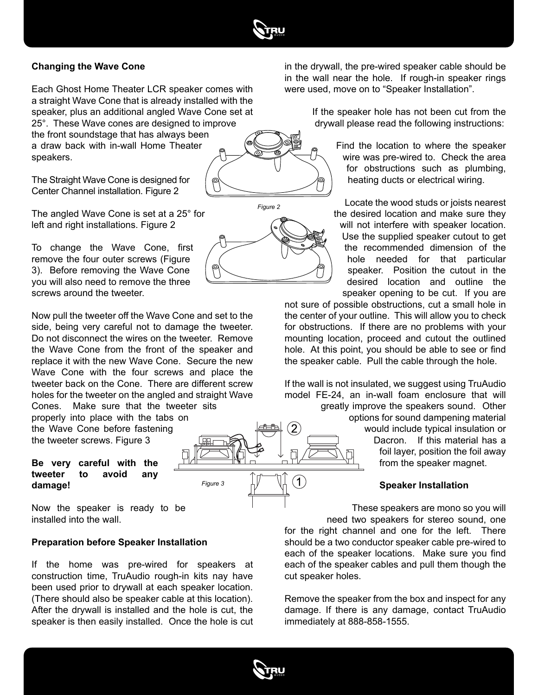

## **Changing the Wave Cone**

Each Ghost Home Theater LCR speaker comes with a straight Wave Cone that is already installed with the speaker, plus an additional angled Wave Cone set at 25°. These Wave cones are designed to improve the front soundstage that has always been a draw back with in-wall Home Theater speakers.

The Straight Wave Cone is designed for Center Channel installation. Figure 2

The angled Wave Cone is set at a 25° for left and right installations. Figure 2

To change the Wave Cone, first remove the four outer screws (Figure 3). Before removing the Wave Cone you will also need to remove the three screws around the tweeter.

Now pull the tweeter off the Wave Cone and set to the side, being very careful not to damage the tweeter. Do not disconnect the wires on the tweeter. Remove the Wave Cone from the front of the speaker and replace it with the new Wave Cone. Secure the new Wave Cone with the four screws and place the tweeter back on the Cone. There are different screw holes for the tweeter on the angled and straight Wave Cones. Make sure that the tweeter sits

properly into place with the tabs on the Wave Cone before fastening the tweeter screws. Figure 3

#### **Be very careful with the tweeter to avoid any damage!**

Now the speaker is ready to be installed into the wall.

### **Preparation before Speaker Installation**

If the home was pre-wired for speakers at construction time, TruAudio rough-in kits nay have been used prior to drywall at each speaker location. (There should also be speaker cable at this location). After the drywall is installed and the hole is cut, the speaker is then easily installed. Once the hole is cut

*Figure 3*





in the drywall, the pre-wired speaker cable should be in the wall near the hole. If rough-in speaker rings were used, move on to "Speaker Installation".

> If the speaker hole has not been cut from the drywall please read the following instructions:

> > Find the location to where the speaker wire was pre-wired to. Check the area for obstructions such as plumbing, heating ducts or electrical wiring.

Locate the wood studs or joists nearest the desired location and make sure they will not interfere with speaker location. Use the supplied speaker cutout to get the recommended dimension of the hole needed for that particular speaker. Position the cutout in the desired location and outline the speaker opening to be cut. If you are

not sure of possible obstructions, cut a small hole in the center of your outline. This will allow you to check for obstructions. If there are no problems with your mounting location, proceed and cutout the outlined hole. At this point, you should be able to see or find the speaker cable. Pull the cable through the hole.

If the wall is not insulated, we suggest using TruAudio model FE-24, an in-wall foam enclosure that will greatly improve the speakers sound. Other options for sound dampening material would include typical insulation or Dacron. If this material has a foil layer, position the foil away from the speaker magnet.

#### **Speaker Installation**

These speakers are mono so you will need two speakers for stereo sound, one for the right channel and one for the left. There should be a two conductor speaker cable pre-wired to each of the speaker locations. Make sure you find each of the speaker cables and pull them though the cut speaker holes.

Remove the speaker from the box and inspect for any damage. If there is any damage, contact TruAudio immediately at 888-858-1555.



 $\mathbf 1$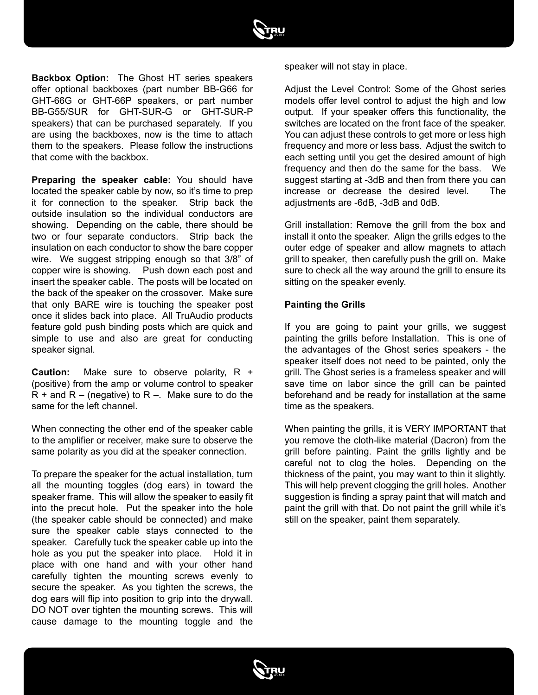

**Backbox Option:** The Ghost HT series speakers offer optional backboxes (part number BB-G66 for GHT-66G or GHT-66P speakers, or part number BB-G55/SUR for GHT-SUR-G or GHT-SUR-P speakers) that can be purchased separately. If you are using the backboxes, now is the time to attach them to the speakers. Please follow the instructions that come with the backbox.

**Preparing the speaker cable:** You should have located the speaker cable by now, so it's time to prep it for connection to the speaker. Strip back the outside insulation so the individual conductors are showing. Depending on the cable, there should be two or four separate conductors. Strip back the insulation on each conductor to show the bare copper wire. We suggest stripping enough so that 3/8" of copper wire is showing. Push down each post and insert the speaker cable. The posts will be located on the back of the speaker on the crossover. Make sure that only BARE wire is touching the speaker post once it slides back into place. All TruAudio products feature gold push binding posts which are quick and simple to use and also are great for conducting speaker signal.

**Caution:** Make sure to observe polarity, R + (positive) from the amp or volume control to speaker  $R +$  and  $R -$  (negative) to  $R -$ . Make sure to do the same for the left channel.

When connecting the other end of the speaker cable to the amplifier or receiver, make sure to observe the same polarity as you did at the speaker connection.

To prepare the speaker for the actual installation, turn all the mounting toggles (dog ears) in toward the speaker frame. This will allow the speaker to easily fit into the precut hole. Put the speaker into the hole (the speaker cable should be connected) and make sure the speaker cable stays connected to the speaker. Carefully tuck the speaker cable up into the hole as you put the speaker into place. Hold it in place with one hand and with your other hand carefully tighten the mounting screws evenly to secure the speaker. As you tighten the screws, the dog ears will flip into position to grip into the drywall. DO NOT over tighten the mounting screws. This will cause damage to the mounting toggle and the

speaker will not stay in place.

Adjust the Level Control: Some of the Ghost series models offer level control to adjust the high and low output. If your speaker offers this functionality, the switches are located on the front face of the speaker. You can adjust these controls to get more or less high frequency and more or less bass. Adjust the switch to each setting until you get the desired amount of high frequency and then do the same for the bass. We suggest starting at -3dB and then from there you can increase or decrease the desired level. The adjustments are -6dB, -3dB and 0dB.

Grill installation: Remove the grill from the box and install it onto the speaker. Align the grills edges to the outer edge of speaker and allow magnets to attach grill to speaker, then carefully push the grill on. Make sure to check all the way around the grill to ensure its sitting on the speaker evenly.

#### **Painting the Grills**

If you are going to paint your grills, we suggest painting the grills before Installation. This is one of the advantages of the Ghost series speakers - the speaker itself does not need to be painted, only the grill. The Ghost series is a frameless speaker and will save time on labor since the grill can be painted beforehand and be ready for installation at the same time as the speakers.

When painting the grills, it is VERY IMPORTANT that you remove the cloth-like material (Dacron) from the grill before painting. Paint the grills lightly and be careful not to clog the holes. Depending on the thickness of the paint, you may want to thin it slightly. This will help prevent clogging the grill holes. Another suggestion is finding a spray paint that will match and paint the grill with that. Do not paint the grill while it's still on the speaker, paint them separately.